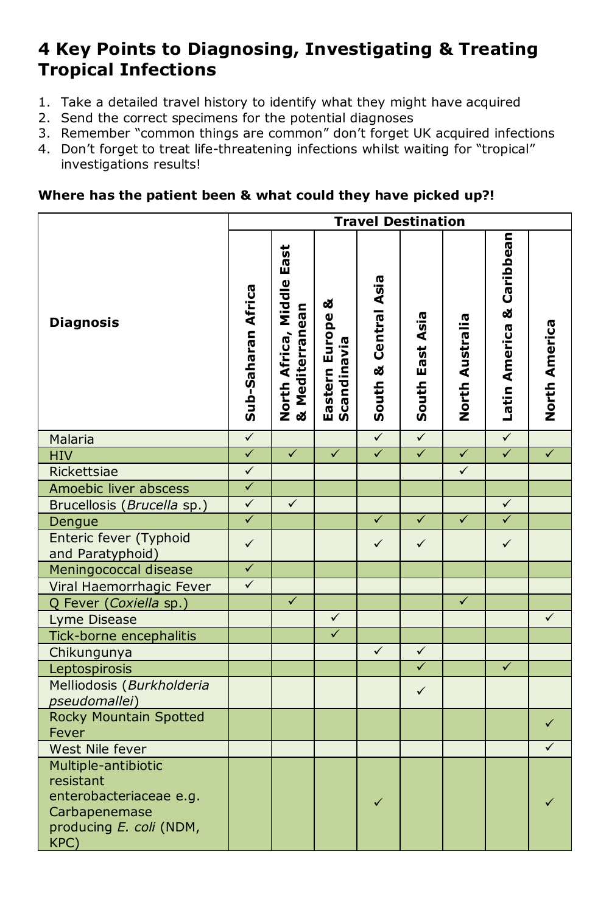## **4 Key Points to Diagnosing, Investigating & Treating Tropical Infections**

- 1. Take a detailed travel history to identify what they might have acquired
- 2. Send the correct specimens for the potential diagnoses
- 3. Remember "common things are common" don't forget UK acquired infections
- 4. Don't forget to treat life-threatening infections whilst waiting for "tropical" investigations results!

## **Where has the patient been & what could they have picked up?!**

|                                                                                                                 | <b>Travel Destination</b> |                                                                      |                                    |                      |                 |                 |                           |               |
|-----------------------------------------------------------------------------------------------------------------|---------------------------|----------------------------------------------------------------------|------------------------------------|----------------------|-----------------|-----------------|---------------------------|---------------|
| <b>Diagnosis</b>                                                                                                | Sub-Saharan Africa        | <b>Middle East</b><br>Mediterranean<br>North Africa,<br>& Mediterran | ఱ<br>Eastern Europe<br>Scandinavia | South & Central Asia | South East Asia | North Australia | Latin America & Caribbean | North America |
| Malaria                                                                                                         | $\checkmark$              |                                                                      |                                    | $\checkmark$         | $\checkmark$    |                 | $\checkmark$              |               |
| <b>HIV</b>                                                                                                      | $\checkmark$              | $\checkmark$                                                         | $\checkmark$                       | $\checkmark$         | $\checkmark$    | $\checkmark$    | $\checkmark$              | $\checkmark$  |
| Rickettsiae                                                                                                     | $\checkmark$              |                                                                      |                                    |                      |                 | $\checkmark$    |                           |               |
| Amoebic liver abscess                                                                                           | $\checkmark$              |                                                                      |                                    |                      |                 |                 |                           |               |
| Brucellosis (Brucella sp.)                                                                                      | $\checkmark$              | $\checkmark$                                                         |                                    |                      |                 |                 | $\checkmark$              |               |
| Dengue                                                                                                          | $\overline{\checkmark}$   |                                                                      |                                    | $\checkmark$         | $\checkmark$    | $\checkmark$    | $\checkmark$              |               |
| Enteric fever (Typhoid<br>and Paratyphoid)                                                                      | $\checkmark$              |                                                                      |                                    | $\checkmark$         | $\checkmark$    |                 | $\checkmark$              |               |
| Meningococcal disease                                                                                           | $\checkmark$              |                                                                      |                                    |                      |                 |                 |                           |               |
| Viral Haemorrhagic Fever                                                                                        | $\checkmark$              |                                                                      |                                    |                      |                 |                 |                           |               |
| Q Fever (Coxiella sp.)                                                                                          |                           | $\checkmark$                                                         |                                    |                      |                 | $\checkmark$    |                           |               |
| Lyme Disease                                                                                                    |                           |                                                                      | $\checkmark$                       |                      |                 |                 |                           | $\checkmark$  |
| Tick-borne encephalitis                                                                                         |                           |                                                                      | $\checkmark$                       |                      |                 |                 |                           |               |
| Chikungunya                                                                                                     |                           |                                                                      |                                    | $\checkmark$         | $\checkmark$    |                 |                           |               |
| Leptospirosis                                                                                                   |                           |                                                                      |                                    |                      | $\checkmark$    |                 | $\checkmark$              |               |
| Melliodosis (Burkholderia<br>pseudomallei)                                                                      |                           |                                                                      |                                    |                      | $\checkmark$    |                 |                           |               |
| <b>Rocky Mountain Spotted</b><br>Fever                                                                          |                           |                                                                      |                                    |                      |                 |                 |                           | $\checkmark$  |
| West Nile fever                                                                                                 |                           |                                                                      |                                    |                      |                 |                 |                           | ✓             |
| Multiple-antibiotic<br>resistant<br>enterobacteriaceae e.g.<br>Carbapenemase<br>producing E. coli (NDM,<br>KPC) |                           |                                                                      |                                    |                      |                 |                 |                           |               |